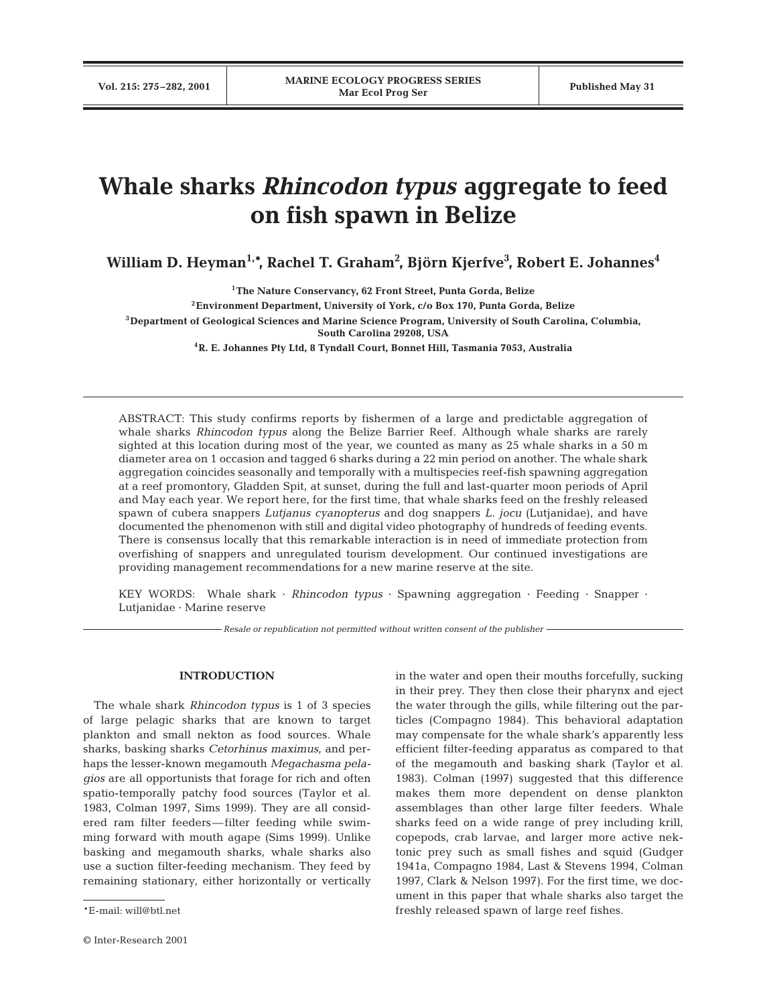# **Whale sharks** *Rhincodon typus* **aggregate to feed on fish spawn in Belize**

**William D. Heyman1,\*, Rachel T. Graham2 , Björn Kjerfve3 , Robert E. Johannes4**

**1The Nature Conservancy, 62 Front Street, Punta Gorda, Belize 2Environment Department, University of York, c/o Box 170, Punta Gorda, Belize 3Department of Geological Sciences and Marine Science Program, University of South Carolina, Columbia, South Carolina 29208, USA 4R. E. Johannes Pty Ltd, 8 Tyndall Court, Bonnet Hill, Tasmania 7053, Australia**

ABSTRACT: This study confirms reports by fishermen of a large and predictable aggregation of whale sharks *Rhincodon typus* along the Belize Barrier Reef. Although whale sharks are rarely sighted at this location during most of the year, we counted as many as 25 whale sharks in a 50 m diameter area on 1 occasion and tagged 6 sharks during a 22 min period on another. The whale shark aggregation coincides seasonally and temporally with a multispecies reef-fish spawning aggregation at a reef promontory, Gladden Spit, at sunset, during the full and last-quarter moon periods of April and May each year. We report here, for the first time, that whale sharks feed on the freshly released spawn of cubera snappers *Lutjanus cyanopterus* and dog snappers *L. jocu* (Lutjanidae), and have documented the phenomenon with still and digital video photography of hundreds of feeding events. There is consensus locally that this remarkable interaction is in need of immediate protection from overfishing of snappers and unregulated tourism development. Our continued investigations are providing management recommendations for a new marine reserve at the site.

KEY WORDS: Whale shark · *Rhincodon typus* · Spawning aggregation · Feeding · Snapper · Lutjanidae · Marine reserve

*Resale or republication not permitted without written consent of the publisher*

## **INTRODUCTION**

The whale shark *Rhincodon typus* is 1 of 3 species of large pelagic sharks that are known to target plankton and small nekton as food sources. Whale sharks, basking sharks *Cetorhinus maximus*, and perhaps the lesser-known megamouth *Megachasma pelagios* are all opportunists that forage for rich and often spatio-temporally patchy food sources (Taylor et al. 1983, Colman 1997, Sims 1999). They are all considered ram filter feeders—filter feeding while swimming forward with mouth agape (Sims 1999). Unlike basking and megamouth sharks, whale sharks also use a suction filter-feeding mechanism. They feed by remaining stationary, either horizontally or vertically

in the water and open their mouths forcefully, sucking in their prey. They then close their pharynx and eject the water through the gills, while filtering out the particles (Compagno 1984). This behavioral adaptation may compensate for the whale shark's apparently less efficient filter-feeding apparatus as compared to that of the megamouth and basking shark (Taylor et al. 1983). Colman (1997) suggested that this difference makes them more dependent on dense plankton assemblages than other large filter feeders. Whale sharks feed on a wide range of prey including krill, copepods, crab larvae, and larger more active nektonic prey such as small fishes and squid (Gudger 1941a, Compagno 1984, Last & Stevens 1994, Colman 1997, Clark & Nelson 1997). For the first time, we document in this paper that whale sharks also target the freshly released spawn of large reef fishes.

<sup>\*</sup>E-mail: will@btl.net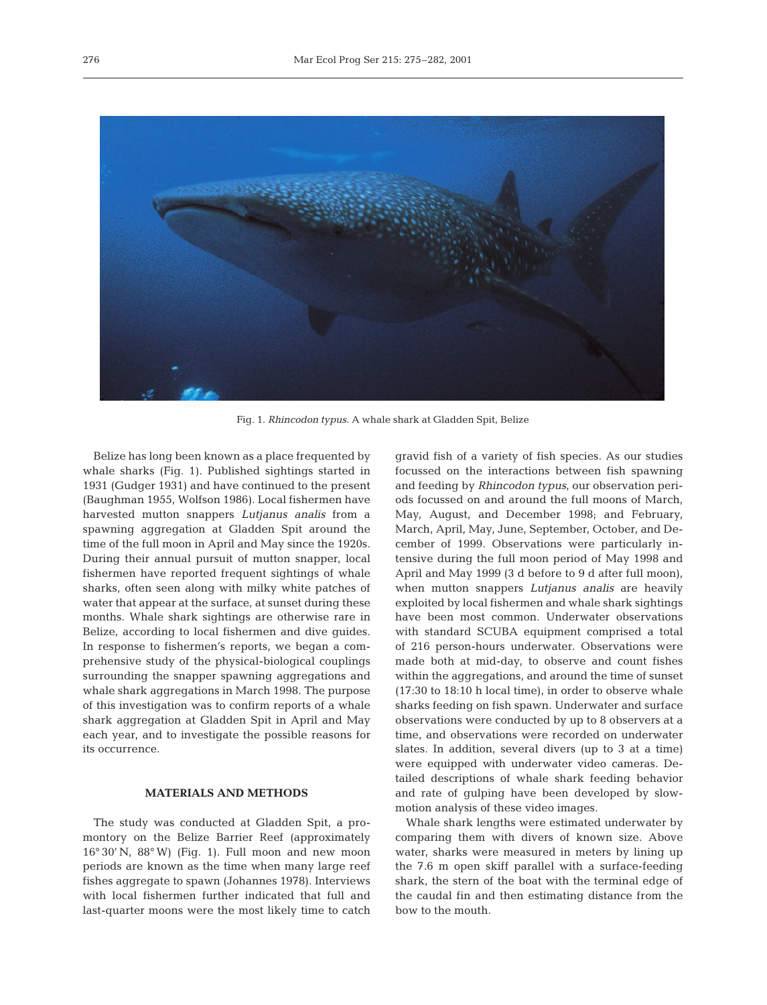

Fig. 1. *Rhincodon typus.* A whale shark at Gladden Spit, Belize

Belize has long been known as a place frequented by whale sharks (Fig. 1). Published sightings started in 1931 (Gudger 1931) and have continued to the present (Baughman 1955, Wolfson 1986). Local fishermen have harvested mutton snappers *Lutjanus analis* from a spawning aggregation at Gladden Spit around the time of the full moon in April and May since the 1920s. During their annual pursuit of mutton snapper, local fishermen have reported frequent sightings of whale sharks, often seen along with milky white patches of water that appear at the surface, at sunset during these months. Whale shark sightings are otherwise rare in Belize, according to local fishermen and dive guides. In response to fishermen's reports, we began a comprehensive study of the physical-biological couplings surrounding the snapper spawning aggregations and whale shark aggregations in March 1998. The purpose of this investigation was to confirm reports of a whale shark aggregation at Gladden Spit in April and May each year, and to investigate the possible reasons for its occurrence.

# **MATERIALS AND METHODS**

The study was conducted at Gladden Spit, a promontory on the Belize Barrier Reef (approximately 16° 30' N, 88° W) (Fig. 1). Full moon and new moon periods are known as the time when many large reef fishes aggregate to spawn (Johannes 1978). Interviews with local fishermen further indicated that full and last-quarter moons were the most likely time to catch

gravid fish of a variety of fish species. As our studies focussed on the interactions between fish spawning and feeding by *Rhincodon typus*, our observation periods focussed on and around the full moons of March, May, August, and December 1998; and February, March, April, May, June, September, October, and December of 1999. Observations were particularly intensive during the full moon period of May 1998 and April and May 1999 (3 d before to 9 d after full moon), when mutton snappers *Lutjanus analis* are heavily exploited by local fishermen and whale shark sightings have been most common. Underwater observations with standard SCUBA equipment comprised a total of 216 person-hours underwater. Observations were made both at mid-day, to observe and count fishes within the aggregations, and around the time of sunset (17:30 to 18:10 h local time), in order to observe whale sharks feeding on fish spawn. Underwater and surface observations were conducted by up to 8 observers at a time, and observations were recorded on underwater slates. In addition, several divers (up to 3 at a time) were equipped with underwater video cameras. Detailed descriptions of whale shark feeding behavior and rate of gulping have been developed by slowmotion analysis of these video images.

Whale shark lengths were estimated underwater by comparing them with divers of known size. Above water, sharks were measured in meters by lining up the 7.6 m open skiff parallel with a surface-feeding shark, the stern of the boat with the terminal edge of the caudal fin and then estimating distance from the bow to the mouth.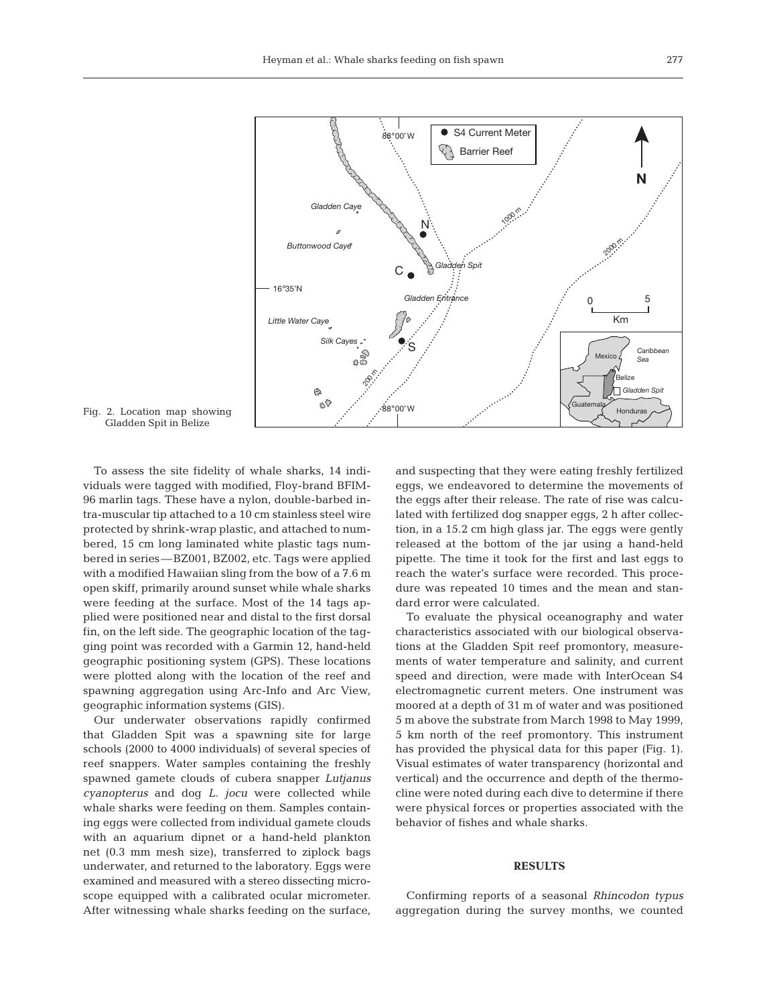

Fig. 2. Location map showing Gladden Spit in Belize

To assess the site fidelity of whale sharks, 14 individuals were tagged with modified, Floy-brand BFIM-96 marlin tags. These have a nylon, double-barbed intra-muscular tip attached to a 10 cm stainless steel wire protected by shrink-wrap plastic, and attached to numbered, 15 cm long laminated white plastic tags numbered in series—BZ001, BZ002, etc. Tags were applied with a modified Hawaiian sling from the bow of a 7.6 m open skiff, primarily around sunset while whale sharks were feeding at the surface. Most of the 14 tags applied were positioned near and distal to the first dorsal fin, on the left side. The geographic location of the tagging point was recorded with a Garmin 12, hand-held geographic positioning system (GPS). These locations were plotted along with the location of the reef and spawning aggregation using Arc-Info and Arc View, geographic information systems (GIS).

Our underwater observations rapidly confirmed that Gladden Spit was a spawning site for large schools (2000 to 4000 individuals) of several species of reef snappers. Water samples containing the freshly spawned gamete clouds of cubera snapper *Lutjanus cyanopterus* and dog *L. jocu* were collected while whale sharks were feeding on them. Samples containing eggs were collected from individual gamete clouds with an aquarium dipnet or a hand-held plankton net (0.3 mm mesh size), transferred to ziplock bags underwater, and returned to the laboratory. Eggs were examined and measured with a stereo dissecting microscope equipped with a calibrated ocular micrometer. After witnessing whale sharks feeding on the surface, and suspecting that they were eating freshly fertilized eggs, we endeavored to determine the movements of the eggs after their release. The rate of rise was calculated with fertilized dog snapper eggs, 2 h after collection, in a 15.2 cm high glass jar. The eggs were gently released at the bottom of the jar using a hand-held pipette. The time it took for the first and last eggs to reach the water's surface were recorded. This procedure was repeated 10 times and the mean and standard error were calculated.

To evaluate the physical oceanography and water characteristics associated with our biological observations at the Gladden Spit reef promontory, measurements of water temperature and salinity, and current speed and direction, were made with InterOcean S4 electromagnetic current meters. One instrument was moored at a depth of 31 m of water and was positioned 5 m above the substrate from March 1998 to May 1999, 5 km north of the reef promontory. This instrument has provided the physical data for this paper (Fig. 1). Visual estimates of water transparency (horizontal and vertical) and the occurrence and depth of the thermocline were noted during each dive to determine if there were physical forces or properties associated with the behavior of fishes and whale sharks.

## **RESULTS**

Confirming reports of a seasonal *Rhincodon typus* aggregation during the survey months, we counted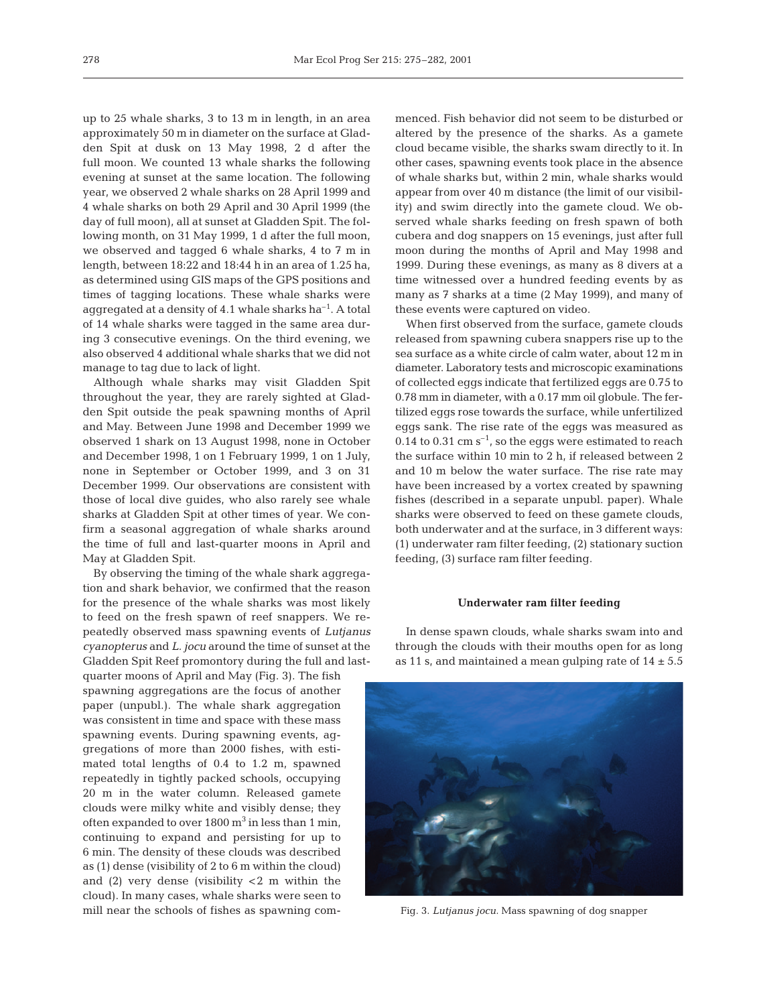up to 25 whale sharks, 3 to 13 m in length, in an area approximately 50 m in diameter on the surface at Gladden Spit at dusk on 13 May 1998, 2 d after the full moon. We counted 13 whale sharks the following evening at sunset at the same location. The following year, we observed 2 whale sharks on 28 April 1999 and 4 whale sharks on both 29 April and 30 April 1999 (the day of full moon), all at sunset at Gladden Spit. The following month, on 31 May 1999, 1 d after the full moon, we observed and tagged 6 whale sharks, 4 to 7 m in length, between 18:22 and 18:44 h in an area of 1.25 ha, as determined using GIS maps of the GPS positions and times of tagging locations. These whale sharks were aggregated at a density of 4.1 whale sharks  $ha^{-1}$ . A total of 14 whale sharks were tagged in the same area during 3 consecutive evenings. On the third evening, we also observed 4 additional whale sharks that we did not manage to tag due to lack of light.

Although whale sharks may visit Gladden Spit throughout the year, they are rarely sighted at Gladden Spit outside the peak spawning months of April and May. Between June 1998 and December 1999 we observed 1 shark on 13 August 1998, none in October and December 1998, 1 on 1 February 1999, 1 on 1 July, none in September or October 1999, and 3 on 31 December 1999. Our observations are consistent with those of local dive guides, who also rarely see whale sharks at Gladden Spit at other times of year. We confirm a seasonal aggregation of whale sharks around the time of full and last-quarter moons in April and May at Gladden Spit.

By observing the timing of the whale shark aggregation and shark behavior, we confirmed that the reason for the presence of the whale sharks was most likely to feed on the fresh spawn of reef snappers. We repeatedly observed mass spawning events of *Lutjanus cyanopterus* and *L. jocu* around the time of sunset at the Gladden Spit Reef promontory during the full and last-

quarter moons of April and May (Fig. 3). The fish spawning aggregations are the focus of another paper (unpubl.). The whale shark aggregation was consistent in time and space with these mass spawning events. During spawning events, aggregations of more than 2000 fishes, with estimated total lengths of 0.4 to 1.2 m, spawned repeatedly in tightly packed schools, occupying 20 m in the water column. Released gamete clouds were milky white and visibly dense; they often expanded to over  $1800 \text{ m}^3$  in less than 1 min, continuing to expand and persisting for up to 6 min. The density of these clouds was described as (1) dense (visibility of 2 to 6 m within the cloud) and  $(2)$  very dense (visibility  $<$ 2 m within the cloud). In many cases, whale sharks were seen to mill near the schools of fishes as spawning commenced. Fish behavior did not seem to be disturbed or altered by the presence of the sharks. As a gamete cloud became visible, the sharks swam directly to it. In other cases, spawning events took place in the absence of whale sharks but, within 2 min, whale sharks would appear from over 40 m distance (the limit of our visibility) and swim directly into the gamete cloud. We observed whale sharks feeding on fresh spawn of both cubera and dog snappers on 15 evenings, just after full moon during the months of April and May 1998 and 1999. During these evenings, as many as 8 divers at a time witnessed over a hundred feeding events by as many as 7 sharks at a time (2 May 1999), and many of these events were captured on video.

When first observed from the surface, gamete clouds released from spawning cubera snappers rise up to the sea surface as a white circle of calm water, about 12 m in diameter. Laboratory tests and microscopic examinations of collected eggs indicate that fertilized eggs are 0.75 to 0.78 mm in diameter, with a 0.17 mm oil globule. The fertilized eggs rose towards the surface, while unfertilized eggs sank. The rise rate of the eggs was measured as 0.14 to 0.31 cm  $s^{-1}$ , so the eggs were estimated to reach the surface within 10 min to 2 h, if released between 2 and 10 m below the water surface. The rise rate may have been increased by a vortex created by spawning fishes (described in a separate unpubl. paper). Whale sharks were observed to feed on these gamete clouds, both underwater and at the surface, in 3 different ways: (1) underwater ram filter feeding, (2) stationary suction feeding, (3) surface ram filter feeding.

#### **Underwater ram filter feeding**

In dense spawn clouds, whale sharks swam into and through the clouds with their mouths open for as long as 11 s, and maintained a mean gulping rate of  $14 \pm 5.5$ 



Fig. 3. *Lutjanus jocu.* Mass spawning of dog snapper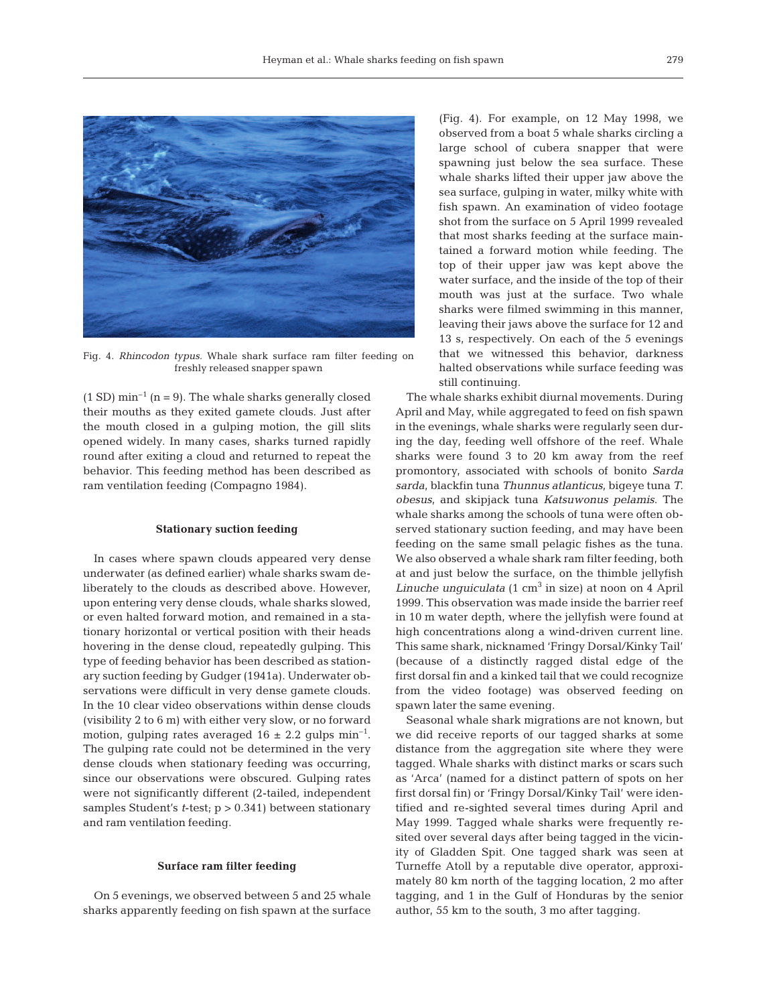

Fig. 4. *Rhincodon typus.* Whale shark surface ram filter feeding on freshly released snapper spawn

 $(1 SD)$  min<sup>-1</sup> (n = 9). The whale sharks generally closed their mouths as they exited gamete clouds. Just after the mouth closed in a gulping motion, the gill slits opened widely. In many cases, sharks turned rapidly round after exiting a cloud and returned to repeat the behavior. This feeding method has been described as ram ventilation feeding (Compagno 1984).

#### **Stationary suction feeding**

In cases where spawn clouds appeared very dense underwater (as defined earlier) whale sharks swam deliberately to the clouds as described above. However, upon entering very dense clouds, whale sharks slowed, or even halted forward motion, and remained in a stationary horizontal or vertical position with their heads hovering in the dense cloud, repeatedly gulping. This type of feeding behavior has been described as stationary suction feeding by Gudger (1941a). Underwater observations were difficult in very dense gamete clouds. In the 10 clear video observations within dense clouds (visibility 2 to 6 m) with either very slow, or no forward motion, gulping rates averaged  $16 \pm 2.2$  gulps min<sup>-1</sup>. The gulping rate could not be determined in the very dense clouds when stationary feeding was occurring, since our observations were obscured. Gulping rates were not significantly different (2-tailed, independent samples Student's *t*-test; p > 0.341) between stationary and ram ventilation feeding.

### **Surface ram filter feeding**

On 5 evenings, we observed between 5 and 25 whale sharks apparently feeding on fish spawn at the surface

(Fig. 4). For example, on 12 May 1998, we observed from a boat 5 whale sharks circling a large school of cubera snapper that were spawning just below the sea surface. These whale sharks lifted their upper jaw above the sea surface, gulping in water, milky white with fish spawn. An examination of video footage shot from the surface on 5 April 1999 revealed that most sharks feeding at the surface maintained a forward motion while feeding. The top of their upper jaw was kept above the water surface, and the inside of the top of their mouth was just at the surface. Two whale sharks were filmed swimming in this manner, leaving their jaws above the surface for 12 and 13 s, respectively. On each of the 5 evenings that we witnessed this behavior, darkness halted observations while surface feeding was still continuing.

The whale sharks exhibit diurnal movements. During April and May, while aggregated to feed on fish spawn in the evenings, whale sharks were regularly seen during the day, feeding well offshore of the reef. Whale sharks were found 3 to 20 km away from the reef promontory, associated with schools of bonito *Sarda sarda*, blackfin tuna *Thunnus atlanticus*, bigeye tuna *T. obesus*, and skipjack tuna *Katsuwonus pelamis*. The whale sharks among the schools of tuna were often observed stationary suction feeding, and may have been feeding on the same small pelagic fishes as the tuna. We also observed a whale shark ram filter feeding, both at and just below the surface, on the thimble jellyfish *Linuche unquiculata*  $(1 \text{ cm}^3 \text{ in size})$  at noon on 4 April 1999. This observation was made inside the barrier reef in 10 m water depth, where the jellyfish were found at high concentrations along a wind-driven current line. This same shark, nicknamed 'Fringy Dorsal/Kinky Tail' (because of a distinctly ragged distal edge of the first dorsal fin and a kinked tail that we could recognize from the video footage) was observed feeding on spawn later the same evening.

Seasonal whale shark migrations are not known, but we did receive reports of our tagged sharks at some distance from the aggregation site where they were tagged. Whale sharks with distinct marks or scars such as 'Arca' (named for a distinct pattern of spots on her first dorsal fin) or 'Fringy Dorsal/Kinky Tail' were identified and re-sighted several times during April and May 1999. Tagged whale sharks were frequently resited over several days after being tagged in the vicinity of Gladden Spit. One tagged shark was seen at Turneffe Atoll by a reputable dive operator, approximately 80 km north of the tagging location, 2 mo after tagging, and 1 in the Gulf of Honduras by the senior author, 55 km to the south, 3 mo after tagging.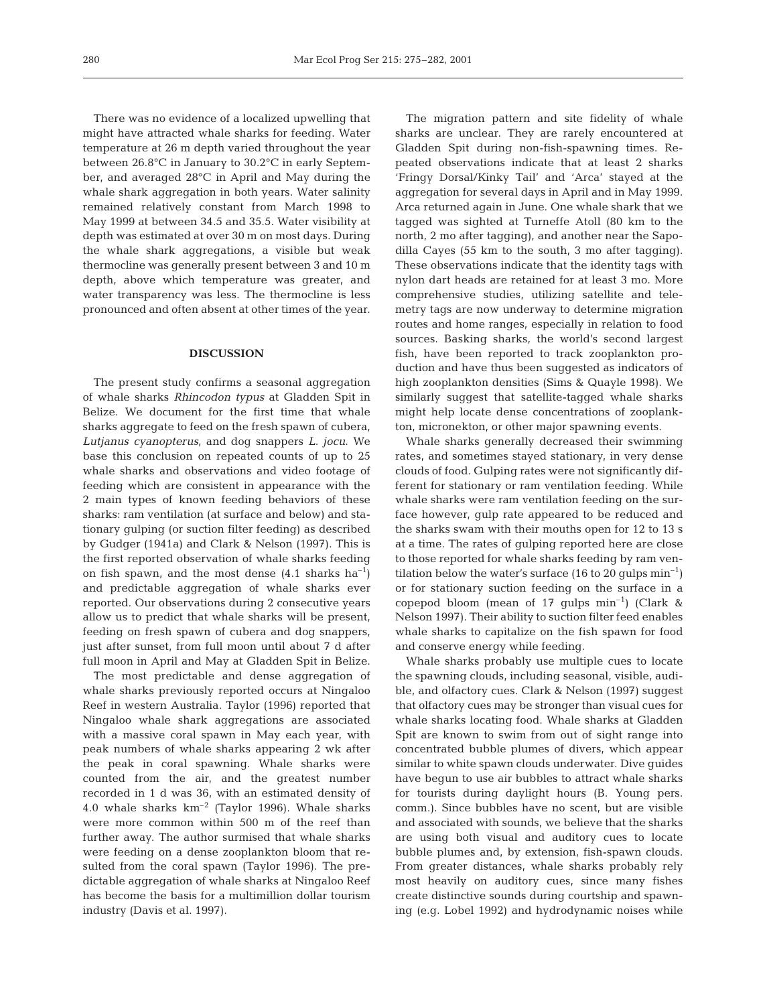There was no evidence of a localized upwelling that might have attracted whale sharks for feeding. Water temperature at 26 m depth varied throughout the year between 26.8°C in January to 30.2°C in early September, and averaged 28°C in April and May during the whale shark aggregation in both years. Water salinity remained relatively constant from March 1998 to May 1999 at between 34.5 and 35.5. Water visibility at depth was estimated at over 30 m on most days. During the whale shark aggregations, a visible but weak thermocline was generally present between 3 and 10 m depth, above which temperature was greater, and water transparency was less. The thermocline is less pronounced and often absent at other times of the year.

## **DISCUSSION**

The present study confirms a seasonal aggregation of whale sharks *Rhincodon typus* at Gladden Spit in Belize. We document for the first time that whale sharks aggregate to feed on the fresh spawn of cubera, *Lutjanus cyanopterus*, and dog snappers *L. jocu*. We base this conclusion on repeated counts of up to 25 whale sharks and observations and video footage of feeding which are consistent in appearance with the 2 main types of known feeding behaviors of these sharks: ram ventilation (at surface and below) and stationary gulping (or suction filter feeding) as described by Gudger (1941a) and Clark & Nelson (1997). This is the first reported observation of whale sharks feeding on fish spawn, and the most dense  $(4.1 \text{ sharks } ha^{-1})$ and predictable aggregation of whale sharks ever reported. Our observations during 2 consecutive years allow us to predict that whale sharks will be present, feeding on fresh spawn of cubera and dog snappers, just after sunset, from full moon until about 7 d after full moon in April and May at Gladden Spit in Belize.

The most predictable and dense aggregation of whale sharks previously reported occurs at Ningaloo Reef in western Australia. Taylor (1996) reported that Ningaloo whale shark aggregations are associated with a massive coral spawn in May each year, with peak numbers of whale sharks appearing 2 wk after the peak in coral spawning. Whale sharks were counted from the air, and the greatest number recorded in 1 d was 36, with an estimated density of 4.0 whale sharks  $km^{-2}$  (Taylor 1996). Whale sharks were more common within 500 m of the reef than further away. The author surmised that whale sharks were feeding on a dense zooplankton bloom that resulted from the coral spawn (Taylor 1996). The predictable aggregation of whale sharks at Ningaloo Reef has become the basis for a multimillion dollar tourism industry (Davis et al. 1997).

The migration pattern and site fidelity of whale sharks are unclear. They are rarely encountered at Gladden Spit during non-fish-spawning times. Repeated observations indicate that at least 2 sharks 'Fringy Dorsal/Kinky Tail' and 'Arca' stayed at the aggregation for several days in April and in May 1999. Arca returned again in June. One whale shark that we tagged was sighted at Turneffe Atoll (80 km to the north, 2 mo after tagging), and another near the Sapodilla Cayes (55 km to the south, 3 mo after tagging). These observations indicate that the identity tags with nylon dart heads are retained for at least 3 mo. More comprehensive studies, utilizing satellite and telemetry tags are now underway to determine migration routes and home ranges, especially in relation to food sources. Basking sharks, the world's second largest fish, have been reported to track zooplankton production and have thus been suggested as indicators of high zooplankton densities (Sims & Quayle 1998). We similarly suggest that satellite-tagged whale sharks might help locate dense concentrations of zooplankton, micronekton, or other major spawning events.

Whale sharks generally decreased their swimming rates, and sometimes stayed stationary, in very dense clouds of food. Gulping rates were not significantly different for stationary or ram ventilation feeding. While whale sharks were ram ventilation feeding on the surface however, gulp rate appeared to be reduced and the sharks swam with their mouths open for 12 to 13 s at a time. The rates of gulping reported here are close to those reported for whale sharks feeding by ram ventilation below the water's surface (16 to 20 gulps  $min^{-1}$ ) or for stationary suction feeding on the surface in a copepod bloom (mean of 17 gulps  $min^{-1}$ ) (Clark & Nelson 1997). Their ability to suction filter feed enables whale sharks to capitalize on the fish spawn for food and conserve energy while feeding.

Whale sharks probably use multiple cues to locate the spawning clouds, including seasonal, visible, audible, and olfactory cues. Clark & Nelson (1997) suggest that olfactory cues may be stronger than visual cues for whale sharks locating food. Whale sharks at Gladden Spit are known to swim from out of sight range into concentrated bubble plumes of divers, which appear similar to white spawn clouds underwater. Dive guides have begun to use air bubbles to attract whale sharks for tourists during daylight hours (B. Young pers. comm.). Since bubbles have no scent, but are visible and associated with sounds, we believe that the sharks are using both visual and auditory cues to locate bubble plumes and, by extension, fish-spawn clouds. From greater distances, whale sharks probably rely most heavily on auditory cues, since many fishes create distinctive sounds during courtship and spawning (e.g. Lobel 1992) and hydrodynamic noises while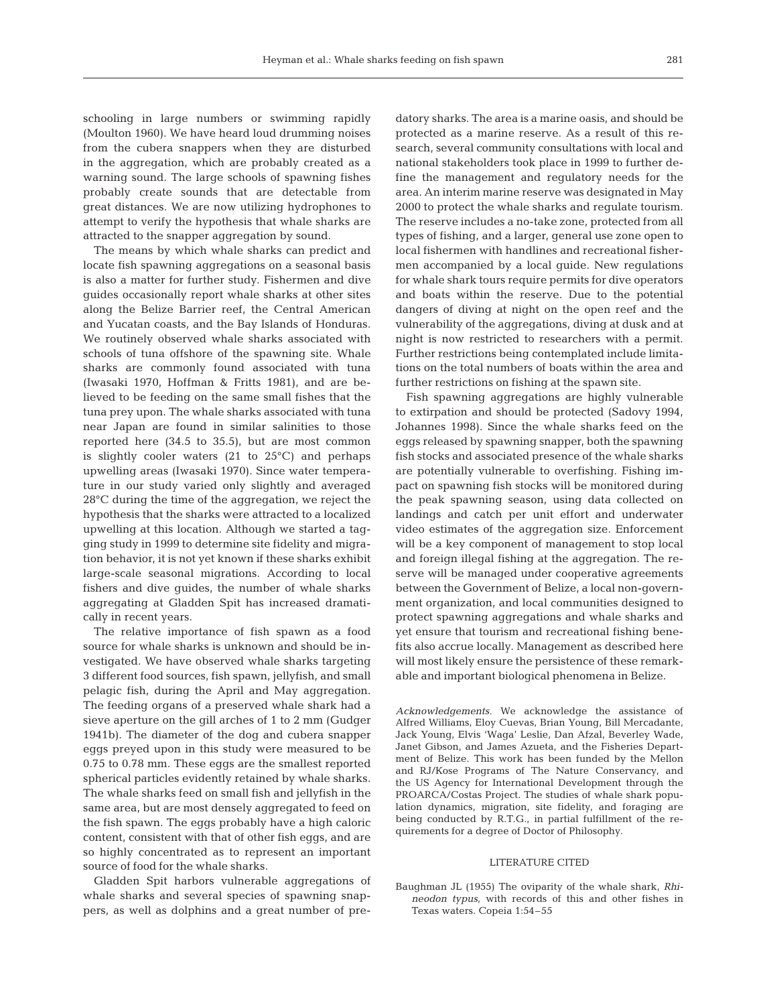schooling in large numbers or swimming rapidly (Moulton 1960). We have heard loud drumming noises from the cubera snappers when they are disturbed in the aggregation, which are probably created as a warning sound. The large schools of spawning fishes probably create sounds that are detectable from great distances. We are now utilizing hydrophones to attempt to verify the hypothesis that whale sharks are attracted to the snapper aggregation by sound.

The means by which whale sharks can predict and locate fish spawning aggregations on a seasonal basis is also a matter for further study. Fishermen and dive guides occasionally report whale sharks at other sites along the Belize Barrier reef, the Central American and Yucatan coasts, and the Bay Islands of Honduras. We routinely observed whale sharks associated with schools of tuna offshore of the spawning site. Whale sharks are commonly found associated with tuna (Iwasaki 1970, Hoffman & Fritts 1981), and are believed to be feeding on the same small fishes that the tuna prey upon. The whale sharks associated with tuna near Japan are found in similar salinities to those reported here (34.5 to 35.5), but are most common is slightly cooler waters (21 to 25°C) and perhaps upwelling areas (Iwasaki 1970). Since water temperature in our study varied only slightly and averaged 28°C during the time of the aggregation, we reject the hypothesis that the sharks were attracted to a localized upwelling at this location. Although we started a tagging study in 1999 to determine site fidelity and migration behavior, it is not yet known if these sharks exhibit large-scale seasonal migrations. According to local fishers and dive guides, the number of whale sharks aggregating at Gladden Spit has increased dramatically in recent years.

The relative importance of fish spawn as a food source for whale sharks is unknown and should be investigated. We have observed whale sharks targeting 3 different food sources, fish spawn, jellyfish, and small pelagic fish, during the April and May aggregation. The feeding organs of a preserved whale shark had a sieve aperture on the gill arches of 1 to 2 mm (Gudger 1941b). The diameter of the dog and cubera snapper eggs preyed upon in this study were measured to be 0.75 to 0.78 mm. These eggs are the smallest reported spherical particles evidently retained by whale sharks. The whale sharks feed on small fish and jellyfish in the same area, but are most densely aggregated to feed on the fish spawn. The eggs probably have a high caloric content, consistent with that of other fish eggs, and are so highly concentrated as to represent an important source of food for the whale sharks.

Gladden Spit harbors vulnerable aggregations of whale sharks and several species of spawning snappers, as well as dolphins and a great number of predatory sharks. The area is a marine oasis, and should be protected as a marine reserve. As a result of this research, several community consultations with local and national stakeholders took place in 1999 to further define the management and regulatory needs for the area. An interim marine reserve was designated in May 2000 to protect the whale sharks and regulate tourism. The reserve includes a no-take zone, protected from all types of fishing, and a larger, general use zone open to local fishermen with handlines and recreational fishermen accompanied by a local guide. New regulations for whale shark tours require permits for dive operators and boats within the reserve. Due to the potential dangers of diving at night on the open reef and the vulnerability of the aggregations, diving at dusk and at night is now restricted to researchers with a permit. Further restrictions being contemplated include limitations on the total numbers of boats within the area and further restrictions on fishing at the spawn site.

Fish spawning aggregations are highly vulnerable to extirpation and should be protected (Sadovy 1994, Johannes 1998). Since the whale sharks feed on the eggs released by spawning snapper, both the spawning fish stocks and associated presence of the whale sharks are potentially vulnerable to overfishing. Fishing impact on spawning fish stocks will be monitored during the peak spawning season, using data collected on landings and catch per unit effort and underwater video estimates of the aggregation size. Enforcement will be a key component of management to stop local and foreign illegal fishing at the aggregation. The reserve will be managed under cooperative agreements between the Government of Belize, a local non-government organization, and local communities designed to protect spawning aggregations and whale sharks and yet ensure that tourism and recreational fishing benefits also accrue locally. Management as described here will most likely ensure the persistence of these remarkable and important biological phenomena in Belize.

*Acknowledgements.* We acknowledge the assistance of Alfred Williams, Eloy Cuevas, Brian Young, Bill Mercadante, Jack Young, Elvis 'Waga' Leslie, Dan Afzal, Beverley Wade, Janet Gibson, and James Azueta, and the Fisheries Department of Belize. This work has been funded by the Mellon and RJ/Kose Programs of The Nature Conservancy, and the US Agency for International Development through the PROARCA/Costas Project. The studies of whale shark population dynamics, migration, site fidelity, and foraging are being conducted by R.T.G., in partial fulfillment of the requirements for a degree of Doctor of Philosophy.

#### LITERATURE CITED

Baughman JL (1955) The oviparity of the whale shark, *Rhineodon typus*, with records of this and other fishes in Texas waters. Copeia 1:54–55